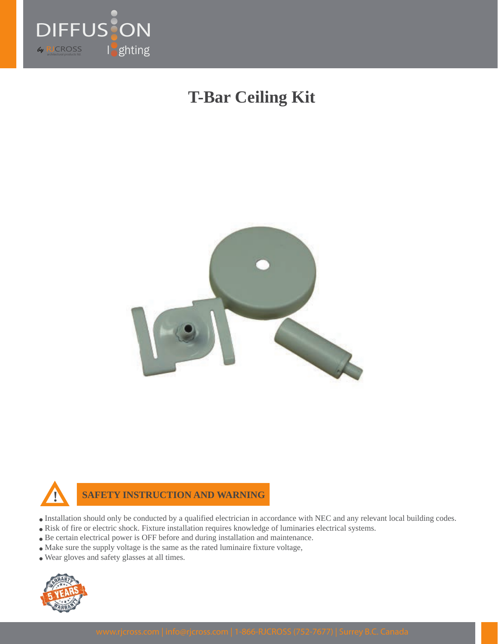

## **T-Bar Ceiling Kit**





**SAFETY INSTRUCTION AND WARNING**

- Installation should only be conducted by a qualified electrician in accordance with NEC and any relevant local building codes.
- Risk of fire or electric shock. Fixture installation requires knowledge of luminaries electrical systems.
- Be certain electrical power is OFF before and during installation and maintenance.
- Make sure the supply voltage is the same as the rated luminaire fixture voltage,
- Wear gloves and safety glasses at all times.

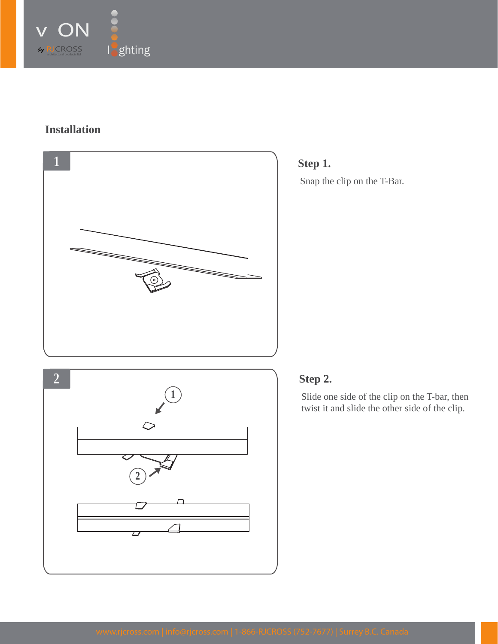

## **Installation**





## **Step 2.**

Slide one side of the clip on the T-bar, then twist it and slide the other side of the clip.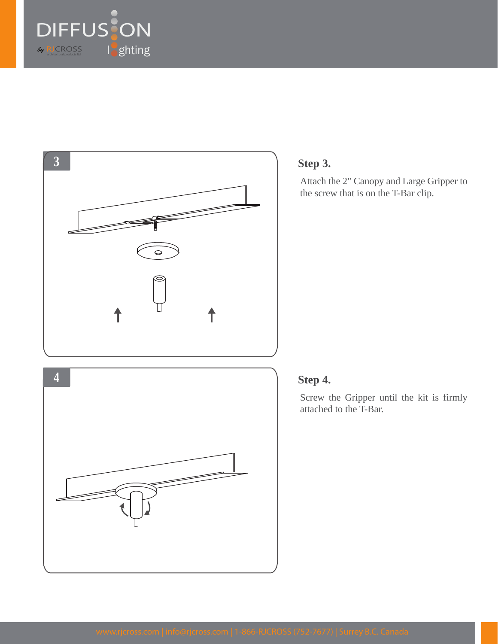





Attach the 2" Canopy and Large Gripper to the screw that is on the T-Bar clip.

## **Step 4.**

Screw the Gripper until the kit is firmly attached to the T-Bar.